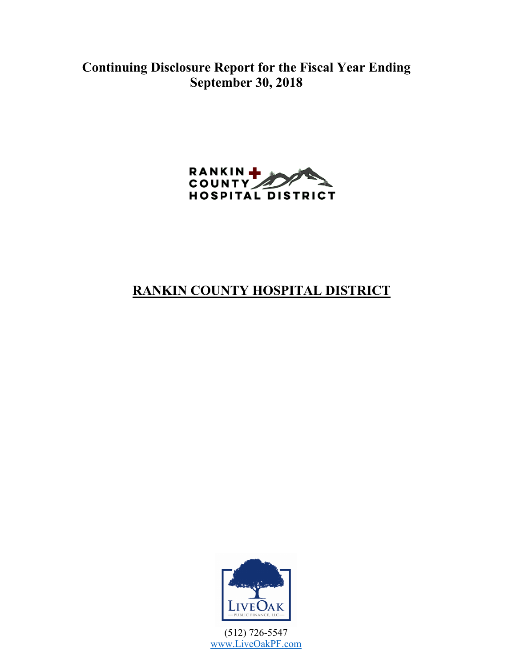**Continuing Disclosure Report for the Fiscal Year Ending September 30, 2018**



# **RANKIN COUNTY HOSPITAL DISTRICT**



(512) 726-5547 www.LiveOakPF.com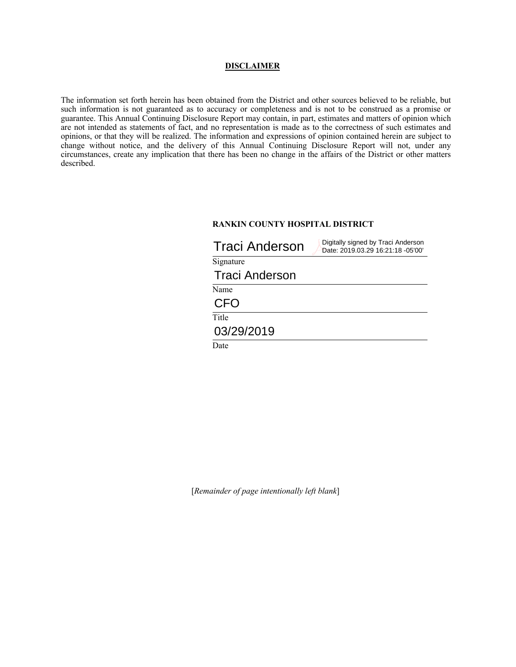#### **DISCLAIMER**

The information set forth herein has been obtained from the District and other sources believed to be reliable, but such information is not guaranteed as to accuracy or completeness and is not to be construed as a promise or guarantee. This Annual Continuing Disclosure Report may contain, in part, estimates and matters of opinion which are not intended as statements of fact, and no representation is made as to the correctness of such estimates and opinions, or that they will be realized. The information and expressions of opinion contained herein are subject to change without notice, and the delivery of this Annual Continuing Disclosure Report will not, under any circumstances, create any implication that there has been no change in the affairs of the District or other matters described.

### **RANKIN COUNTY HOSPITAL DISTRICT**

| <b>Traci Anderson</b> | Digitally signed by Traci Anderson<br>Date: 2019.03.29 16:21:18 -05'00' |
|-----------------------|-------------------------------------------------------------------------|
| Signature             |                                                                         |
| <b>Traci Anderson</b> |                                                                         |
| Name                  |                                                                         |
| CFO                   |                                                                         |
| Title                 |                                                                         |
| 03/29/2019            |                                                                         |
| Date                  |                                                                         |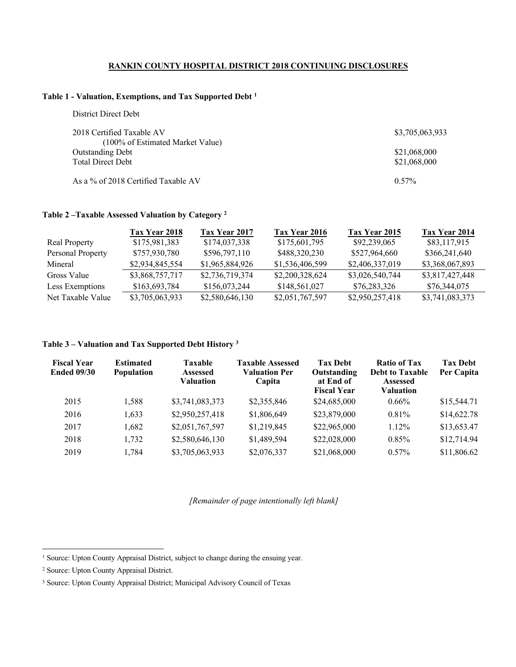### **RANKIN COUNTY HOSPITAL DISTRICT 2018 CONTINUING DISCLOSURES**

### **Table 1 - Valuation, Exemptions, and Tax Supported Debt <sup>1</sup>**

| District Direct Debt                |                 |
|-------------------------------------|-----------------|
| 2018 Certified Taxable AV           | \$3,705,063,933 |
| (100% of Estimated Market Value)    |                 |
| <b>Outstanding Debt</b>             | \$21,068,000    |
| <b>Total Direct Debt</b>            | \$21,068,000    |
|                                     |                 |
| As a % of 2018 Certified Taxable AV | $0.57\%$        |

### **Table 2 –Taxable Assessed Valuation by Category <sup>2</sup>**

|                      | Tax Year 2018   | Tax Year 2017   | Tax Year 2016   | Tax Year 2015   | Tax Year 2014   |
|----------------------|-----------------|-----------------|-----------------|-----------------|-----------------|
| <b>Real Property</b> | \$175,981,383   | \$174,037,338   | \$175,601,795   | \$92,239,065    | \$83,117,915    |
| Personal Property    | \$757,930,780   | \$596,797,110   | \$488,320,230   | \$527,964,660   | \$366,241,640   |
| Mineral              | \$2,934,845,554 | \$1,965,884,926 | \$1,536,406,599 | \$2,406,337,019 | \$3,368,067,893 |
| Gross Value          | \$3,868,757,717 | \$2,736,719,374 | \$2,200,328,624 | \$3,026,540,744 | \$3,817,427,448 |
| Less Exemptions      | \$163,693,784   | \$156,073,244   | \$148,561,027   | \$76,283,326    | \$76,344,075    |
| Net Taxable Value    | \$3,705,063,933 | \$2,580,646,130 | \$2,051,767,597 | \$2,950,257,418 | \$3,741,083,373 |

### **Table 3 – Valuation and Tax Supported Debt History <sup>3</sup>**

| <b>Fiscal Year</b><br><b>Ended 09/30</b> | <b>Estimated</b><br><b>Population</b> | <b>Taxable</b><br><b>Assessed</b><br><b>Valuation</b> | <b>Taxable Assessed</b><br><b>Valuation Per</b><br>Capita | <b>Tax Debt</b><br>Outstanding<br>at End of<br><b>Fiscal Year</b> | <b>Ratio of Tax</b><br><b>Debt to Taxable</b><br><b>Assessed</b><br>Valuation | <b>Tax Debt</b><br>Per Capita |
|------------------------------------------|---------------------------------------|-------------------------------------------------------|-----------------------------------------------------------|-------------------------------------------------------------------|-------------------------------------------------------------------------------|-------------------------------|
| 2015                                     | 1,588                                 | \$3,741,083,373                                       | \$2,355,846                                               | \$24,685,000                                                      | $0.66\%$                                                                      | \$15,544.71                   |
| 2016                                     | 1.633                                 | \$2,950,257,418                                       | \$1,806,649                                               | \$23,879,000                                                      | $0.81\%$                                                                      | \$14,622.78                   |
| 2017                                     | 1,682                                 | \$2,051,767,597                                       | \$1,219,845                                               | \$22,965,000                                                      | $1.12\%$                                                                      | \$13,653.47                   |
| 2018                                     | 1,732                                 | \$2,580,646,130                                       | \$1,489,594                                               | \$22,028,000                                                      | $0.85\%$                                                                      | \$12,714.94                   |
| 2019                                     | 1,784                                 | \$3,705,063,933                                       | \$2,076,337                                               | \$21,068,000                                                      | $0.57\%$                                                                      | \$11,806.62                   |

<sup>&</sup>lt;sup>1</sup> Source: Upton County Appraisal District, subject to change during the ensuing year.

<sup>2</sup> Source: Upton County Appraisal District.

<sup>3</sup> Source: Upton County Appraisal District; Municipal Advisory Council of Texas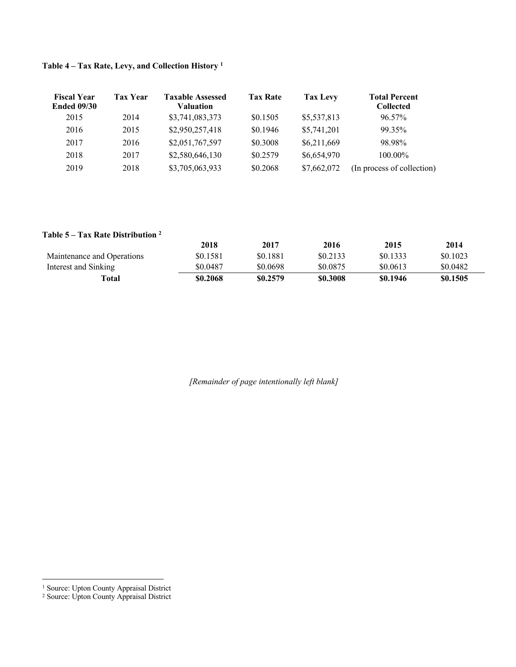| <b>Fiscal Year</b><br><b>Ended 09/30</b> | <b>Tax Year</b> | <b>Taxable Assessed</b><br><b>Valuation</b> | <b>Tax Rate</b> | Tax Levy    | <b>Total Percent</b><br><b>Collected</b> |
|------------------------------------------|-----------------|---------------------------------------------|-----------------|-------------|------------------------------------------|
| 2015                                     | 2014            | \$3,741,083,373                             | \$0.1505        | \$5,537,813 | 96.57%                                   |
| 2016                                     | 2015            | \$2,950,257,418                             | \$0.1946        | \$5,741,201 | 99.35%                                   |
| 2017                                     | 2016            | \$2,051,767,597                             | \$0.3008        | \$6,211,669 | 98.98%                                   |
| 2018                                     | 2017            | \$2,580,646,130                             | \$0.2579        | \$6,654,970 | $100.00\%$                               |
| 2019                                     | 2018            | \$3,705,063,933                             | \$0.2068        | \$7,662,072 | (In process of collection)               |

# **Table 4 – Tax Rate, Levy, and Collection History <sup>1</sup>**

# **Table 5 – Tax Rate Distribution 2**

|                            | 2018     | 2017     | 2016     | 2015     | 2014     |
|----------------------------|----------|----------|----------|----------|----------|
| Maintenance and Operations | \$0.1581 | \$0.1881 | \$0.2133 | \$0.1333 | \$0.1023 |
| Interest and Sinking       | \$0.0487 | \$0.0698 | \$0.0875 | \$0.0613 | \$0.0482 |
| Total                      | \$0.2068 | \$0.2579 | \$0.3008 | \$0.1946 | \$0.1505 |

 <sup>1</sup> Source: Upton County Appraisal District

<sup>2</sup> Source: Upton County Appraisal District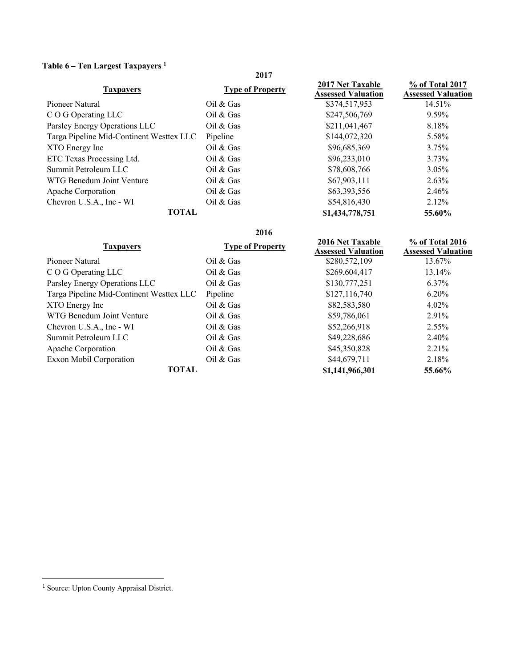# **Table 6 – Ten Largest Taxpayers <sup>1</sup>**

| o<br>$\cdots$                            | 2017                    |                                                      |                                              |
|------------------------------------------|-------------------------|------------------------------------------------------|----------------------------------------------|
| <b>Taxpayers</b>                         | <b>Type of Property</b> | <b>2017 Net Taxable</b><br><b>Assessed Valuation</b> | % of Total 2017<br><b>Assessed Valuation</b> |
| Pioneer Natural                          | $Oil \& Gas$            | \$374,517,953                                        | 14.51%                                       |
| C O G Operating LLC                      | Oil $&$ Gas             | \$247,506,769                                        | 9.59%                                        |
| Parsley Energy Operations LLC            | Oil & Gas               | \$211,041,467                                        | 8.18%                                        |
| Targa Pipeline Mid-Continent Westtex LLC | Pipeline                | \$144,072,320                                        | 5.58%                                        |
| XTO Energy Inc                           | Oil $&$ Gas             | \$96,685,369                                         | $3.75\%$                                     |
| ETC Texas Processing Ltd.                | Oil $&$ Gas             | \$96,233,010                                         | $3.73\%$                                     |
| Summit Petroleum LLC                     | Oil & Gas               | \$78,608,766                                         | $3.05\%$                                     |
| WTG Benedum Joint Venture                | Oil & Gas               | \$67,903,111                                         | $2.63\%$                                     |
| Apache Corporation                       | Oil $&$ Gas             | \$63,393,556                                         | 2.46%                                        |
| Chevron U.S.A., Inc - WI                 | Oil & Gas               | \$54,816,430                                         | $2.12\%$                                     |
| <b>TOTAL</b>                             |                         | \$1,434,778,751                                      | 55.60%                                       |

|                                          | 2016                    |                                                      |                                              |
|------------------------------------------|-------------------------|------------------------------------------------------|----------------------------------------------|
| <b>Taxpayers</b>                         | <b>Type of Property</b> | <b>2016 Net Taxable</b><br><b>Assessed Valuation</b> | % of Total 2016<br><b>Assessed Valuation</b> |
| Pioneer Natural                          | Oil & Gas               | \$280,572,109                                        | 13.67%                                       |
| C O G Operating LLC                      | Oil & Gas               | \$269,604,417                                        | 13.14%                                       |
| Parsley Energy Operations LLC            | Oil & Gas               | \$130,777,251                                        | $6.37\%$                                     |
| Targa Pipeline Mid-Continent Westtex LLC | Pipeline                | \$127,116,740                                        | $6.20\%$                                     |
| XTO Energy Inc                           | Oil & Gas               | \$82,583,580                                         | $4.02\%$                                     |
| WTG Benedum Joint Venture                | Oil & Gas               | \$59,786,061                                         | 2.91%                                        |
| Chevron U.S.A., Inc - WI                 | Oil & Gas               | \$52,266,918                                         | $2.55\%$                                     |
| Summit Petroleum LLC                     | Oil & Gas               | \$49,228,686                                         | 2.40%                                        |
| Apache Corporation                       | Oil $&$ Gas             | \$45,350,828                                         | 2.21%                                        |
| <b>Exxon Mobil Corporation</b>           | Oil & Gas               | \$44,679,711                                         | 2.18%                                        |
| TOTAL                                    |                         | \$1,141,966,301                                      | 55.66%                                       |

1

<sup>&</sup>lt;sup>1</sup> Source: Upton County Appraisal District.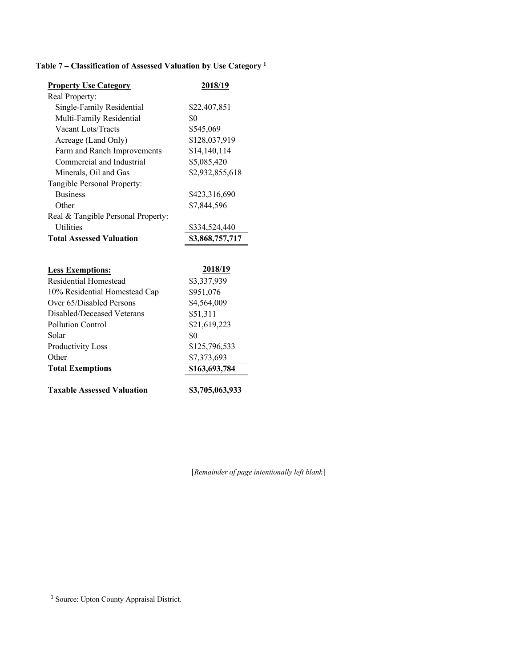# **Table 7 – Classification of Assessed Valuation by Use Category 1**

| <b>Property Use Category</b>       | 2018/19         |
|------------------------------------|-----------------|
| Real Property:                     |                 |
| Single-Family Residential          | \$22,407,851    |
| Multi-Family Residential           | \$0             |
| Vacant Lots/Tracts                 | \$545,069       |
| Acreage (Land Only)                | \$128,037,919   |
| Farm and Ranch Improvements        | \$14,140,114    |
| Commercial and Industrial          | \$5,085,420     |
| Minerals, Oil and Gas              | \$2,932,855,618 |
| Tangible Personal Property:        |                 |
| <b>Business</b>                    | \$423,316,690   |
| Other                              | \$7,844,596     |
| Real & Tangible Personal Property: |                 |
| <b>Utilities</b>                   | \$334,524,440   |
| <b>Total Assessed Valuation</b>    | \$3,868,757,717 |
|                                    |                 |
| <b>Less Exemptions:</b>            | 2018/19         |
| Residential Homestead              | \$3,337,939     |
| 10% Residential Homestead Cap      | \$951,076       |
| Over 65/Disabled Persons           | \$4,564,009     |
| Disabled/Deceased Veterans         | \$51,311        |
| Pollution Control                  | \$21,619,223    |
| Solar                              | \$0             |
| Productivity Loss                  | \$125,796,533   |
| Other                              | \$7,373,693     |
| <b>Total Exemptions</b>            | \$163,693,784   |
| <b>Taxable Assessed Valuation</b>  | \$3,705,063,933 |

[*Remainder of page intentionally left blank*]

<u>.</u>

<sup>&</sup>lt;sup>1</sup> Source: Upton County Appraisal District.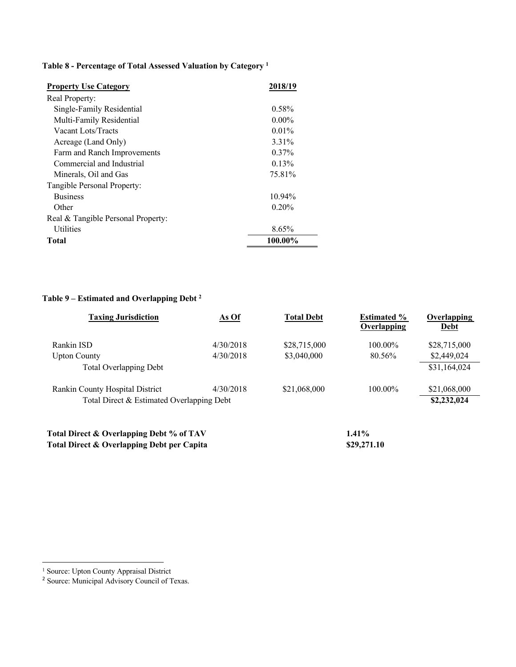# **Table 8 - Percentage of Total Assessed Valuation by Category 1**

| <b>Property Use Category</b>       | 2018/19  |
|------------------------------------|----------|
| Real Property:                     |          |
| Single-Family Residential          | $0.58\%$ |
| Multi-Family Residential           | $0.00\%$ |
| Vacant Lots/Tracts                 | $0.01\%$ |
| Acreage (Land Only)                | 3.31%    |
| Farm and Ranch Improvements        | $0.37\%$ |
| Commercial and Industrial          | 0.13%    |
| Minerals, Oil and Gas              | 75.81%   |
| Tangible Personal Property:        |          |
| <b>Business</b>                    | 10.94%   |
| Other                              | $0.20\%$ |
| Real & Tangible Personal Property: |          |
| <b>Utilities</b>                   | 8.65%    |
| Total                              | 100.00%  |

# **Table 9 – Estimated and Overlapping Debt 2**

| <b>Taxing Jurisdiction</b>                | As Of     | <b>Total Debt</b> | <b>Estimated %</b><br>Overlapping | Overlapping<br>Debt |
|-------------------------------------------|-----------|-------------------|-----------------------------------|---------------------|
| Rankin ISD                                | 4/30/2018 | \$28,715,000      | $100.00\%$                        | \$28,715,000        |
| <b>Upton County</b>                       | 4/30/2018 | \$3,040,000       | 80.56%                            | \$2,449,024         |
| <b>Total Overlapping Debt</b>             |           |                   |                                   | \$31,164,024        |
| Rankin County Hospital District           | 4/30/2018 | \$21,068,000      | $100.00\%$                        | \$21,068,000        |
| Total Direct & Estimated Overlapping Debt |           |                   |                                   | \$2,232,024         |
| Total Direct & Overlapping Debt % of TAV  |           |                   | $1.41\%$                          |                     |

Total Direct & Overlapping Debt per Capita **\$29,271.10** 

 <sup>1</sup> Source: Upton County Appraisal District

<sup>&</sup>lt;sup>2</sup> Source: Municipal Advisory Council of Texas.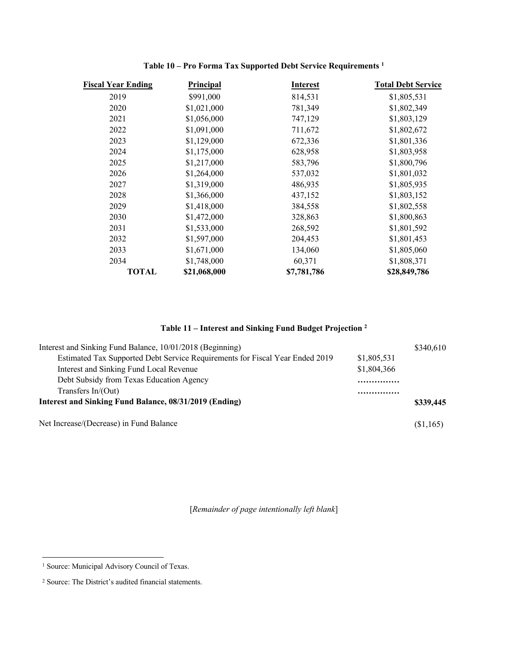| <b>Fiscal Year Ending</b> | Principal    | <b>Interest</b> | <b>Total Debt Service</b> |
|---------------------------|--------------|-----------------|---------------------------|
| 2019                      | \$991,000    | 814,531         | \$1,805,531               |
| 2020                      | \$1,021,000  | 781,349         | \$1,802,349               |
| 2021                      | \$1,056,000  | 747,129         | \$1,803,129               |
| 2022                      | \$1,091,000  | 711,672         | \$1,802,672               |
| 2023                      | \$1,129,000  | 672,336         | \$1,801,336               |
| 2024                      | \$1,175,000  | 628,958         | \$1,803,958               |
| 2025                      | \$1,217,000  | 583,796         | \$1,800,796               |
| 2026                      | \$1,264,000  | 537,032         | \$1,801,032               |
| 2027                      | \$1,319,000  | 486,935         | \$1,805,935               |
| 2028                      | \$1,366,000  | 437,152         | \$1,803,152               |
| 2029                      | \$1,418,000  | 384,558         | \$1,802,558               |
| 2030                      | \$1,472,000  | 328,863         | \$1,800,863               |
| 2031                      | \$1,533,000  | 268,592         | \$1,801,592               |
| 2032                      | \$1,597,000  | 204,453         | \$1,801,453               |
| 2033                      | \$1,671,000  | 134,060         | \$1,805,060               |
| 2034                      | \$1,748,000  | 60,371          | \$1,808,371               |
| <b>TOTAL</b>              | \$21,068,000 | \$7,781,786     | \$28,849,786              |

### **Table 10 – Pro Forma Tax Supported Debt Service Requirements <sup>1</sup>**

# **Table 11 – Interest and Sinking Fund Budget Projection 2**

| Interest and Sinking Fund Balance, 10/01/2018 (Beginning)                    |             | \$340,610 |
|------------------------------------------------------------------------------|-------------|-----------|
| Estimated Tax Supported Debt Service Requirements for Fiscal Year Ended 2019 | \$1,805,531 |           |
| Interest and Sinking Fund Local Revenue                                      | \$1,804,366 |           |
| Debt Subsidy from Texas Education Agency                                     |             |           |
| Transfers $In/(Out)$                                                         |             |           |
| Interest and Sinking Fund Balance, 08/31/2019 (Ending)                       |             | \$339,445 |
| Net Increase/(Decrease) in Fund Balance                                      |             | (\$1,165) |

<sup>&</sup>lt;sup>1</sup> Source: Municipal Advisory Council of Texas.

<sup>2</sup> Source: The District's audited financial statements.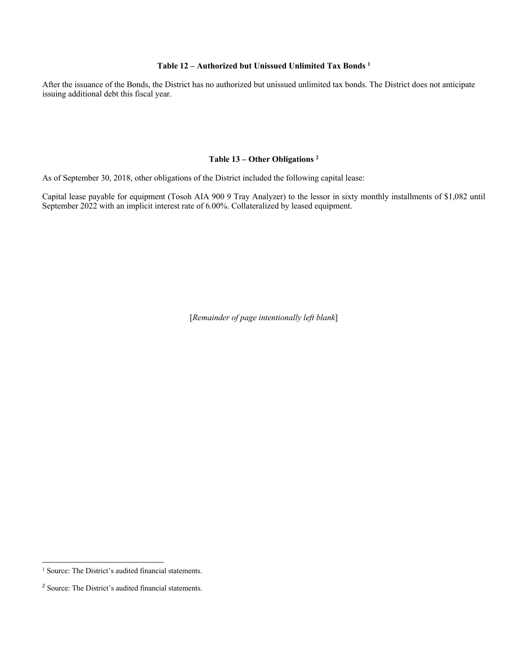### **Table 12 – Authorized but Unissued Unlimited Tax Bonds 1**

After the issuance of the Bonds, the District has no authorized but unissued unlimited tax bonds. The District does not anticipate issuing additional debt this fiscal year.

### **Table 13 – Other Obligations 2**

As of September 30, 2018, other obligations of the District included the following capital lease:

Capital lease payable for equipment (Tosoh AIA 900 9 Tray Analyzer) to the lessor in sixty monthly installments of \$1,082 until September 2022 with an implicit interest rate of 6.00%. Collateralized by leased equipment.

<sup>&</sup>lt;sup>1</sup> Source: The District's audited financial statements.

<sup>2</sup> Source: The District's audited financial statements.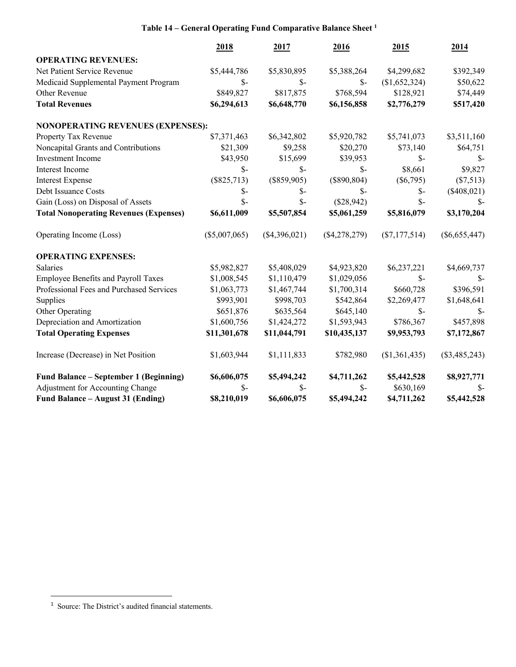# **Table 14 – General Operating Fund Comparative Balance Sheet 1**

|                                               | 2018            | 2017            | 2016            | 2015            | 2014            |
|-----------------------------------------------|-----------------|-----------------|-----------------|-----------------|-----------------|
| <b>OPERATING REVENUES:</b>                    |                 |                 |                 |                 |                 |
| Net Patient Service Revenue                   | \$5,444,786     | \$5,830,895     | \$5,388,264     | \$4,299,682     | \$392,349       |
| Medicaid Supplemental Payment Program         | $S-$            | $S-$            | $\mathcal{S}$ - | (\$1,652,324)   | \$50,622        |
| Other Revenue                                 | \$849,827       | \$817,875       | \$768,594       | \$128,921       | \$74,449        |
| <b>Total Revenues</b>                         | \$6,294,613     | \$6,648,770     | \$6,156,858     | \$2,776,279     | \$517,420       |
| <b>NONOPERATING REVENUES (EXPENSES):</b>      |                 |                 |                 |                 |                 |
| Property Tax Revenue                          | \$7,371,463     | \$6,342,802     | \$5,920,782     | \$5,741,073     | \$3,511,160     |
| Noncapital Grants and Contributions           | \$21,309        | \$9,258         | \$20,270        | \$73,140        | \$64,751        |
| Investment Income                             | \$43,950        | \$15,699        | \$39,953        | $S-$            | $\mathbb{S}^-$  |
| Interest Income                               | $S-$            | $S-$            | $\mathcal{S}$ - | \$8,661         | \$9,827         |
| <b>Interest Expense</b>                       | $(\$825,713)$   | $(\$859,905)$   | $(\$890, 804)$  | $(\$6,795)$     | (\$7,513)       |
| Debt Issuance Costs                           | $S-$            | $S-$            | $\mathcal{S}$ - | $\mathcal{S}$ - | $(\$408,021)$   |
| Gain (Loss) on Disposal of Assets             | $S-$            | $S-$            | (\$28,942)      | $S-$            | $\mathbb{S}$    |
| <b>Total Nonoperating Revenues (Expenses)</b> | \$6,611,009     | \$5,507,854     | \$5,061,259     | \$5,816,079     | \$3,170,204     |
| Operating Income (Loss)                       | $(\$5,007,065)$ | $(\$4,396,021)$ | $(\$4,278,279)$ | $(\$7,177,514)$ | $(\$6,655,447)$ |
| <b>OPERATING EXPENSES:</b>                    |                 |                 |                 |                 |                 |
| Salaries                                      | \$5,982,827     | \$5,408,029     | \$4,923,820     | \$6,237,221     | \$4,669,737     |
| Employee Benefits and Payroll Taxes           | \$1,008,545     | \$1,110,479     | \$1,029,056     | $\mathcal{S}$ - | $S-$            |
| Professional Fees and Purchased Services      | \$1,063,773     | \$1,467,744     | \$1,700,314     | \$660,728       | \$396,591       |
| Supplies                                      | \$993,901       | \$998,703       | \$542,864       | \$2,269,477     | \$1,648,641     |
| Other Operating                               | \$651,876       | \$635,564       | \$645,140       | $\mathcal{S}$ - | $\mathbb{S}$    |
| Depreciation and Amortization                 | \$1,600,756     | \$1,424,272     | \$1,593,943     | \$786,367       | \$457,898       |
| <b>Total Operating Expenses</b>               | \$11,301,678    | \$11,044,791    | \$10,435,137    | \$9,953,793     | \$7,172,867     |
| Increase (Decrease) in Net Position           | \$1,603,944     | \$1,111,833     | \$782,980       | (\$1,361,435)   | $(\$3,485,243)$ |
| Fund Balance – September 1 (Beginning)        | \$6,606,075     | \$5,494,242     | \$4,711,262     | \$5,442,528     | \$8,927,771     |
| Adjustment for Accounting Change              | $\mathcal{S}$ - | \$-             | $S-$            | \$630,169       | $S-$            |
| Fund Balance - August 31 (Ending)             | \$8,210,019     | \$6,606,075     | \$5,494,242     | \$4,711,262     | \$5,442,528     |

 $\overline{\phantom{a}}$ 

1

<sup>&</sup>lt;sup>1</sup> Source: The District's audited financial statements.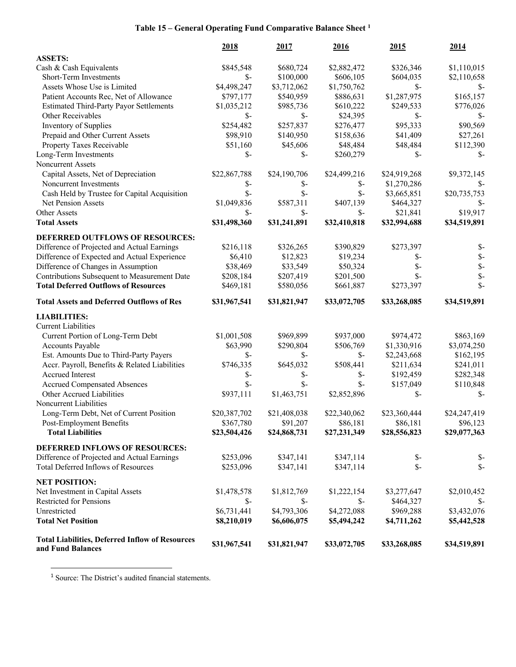# **Table 15 – General Operating Fund Comparative Balance Sheet <sup>1</sup>**

|                                                                             | 2018            | 2017            | 2016            | 2015            | 2014            |
|-----------------------------------------------------------------------------|-----------------|-----------------|-----------------|-----------------|-----------------|
| <b>ASSETS:</b>                                                              |                 |                 |                 |                 |                 |
| Cash & Cash Equivalents                                                     | \$845,548       | \$680,724       | \$2,882,472     | \$326,346       | \$1,110,015     |
| Short-Term Investments                                                      | $S-$            | \$100,000       | \$606,105       | \$604,035       | \$2,110,658     |
| Assets Whose Use is Limited                                                 | \$4,498,247     | \$3,712,062     | \$1,750,762     | $\mathcal{S}$ - | $S-$            |
| Patient Accounts Rec, Net of Allowance                                      | \$797,177       | \$540,959       | \$886,631       | \$1,287,975     | \$165,157       |
| <b>Estimated Third-Party Payor Settlements</b>                              | \$1,035,212     | \$985,736       | \$610,222       | \$249,533       | \$776,026       |
| Other Receivables                                                           | $\mathcal{S}$ - | $\mathcal{S}$ - | \$24,395        | $S-$            | $S-$            |
| Inventory of Supplies                                                       | \$254,482       | \$257,837       | \$276,477       | \$95,333        | \$90,569        |
| Prepaid and Other Current Assets                                            | \$98,910        | \$140,950       | \$158,636       | \$41,409        | \$27,261        |
| Property Taxes Receivable                                                   | \$51,160        | \$45,606        | \$48,484        | \$48,484        | \$112,390       |
| Long-Term Investments                                                       | $\mathcal{S}$ - | $\mathcal{S}$ - | \$260,279       | $\mathcal{S}$ - | $S-$            |
| Noncurrent Assets                                                           |                 |                 |                 |                 |                 |
| Capital Assets, Net of Depreciation                                         | \$22,867,788    | \$24,190,706    | \$24,499,216    | \$24,919,268    | \$9,372,145     |
| Noncurrent Investments                                                      | \$-             | $S-$            | \$-             | \$1,270,286     | \$-             |
| Cash Held by Trustee for Capital Acquisition                                | $\mathcal{S}$ - | $\mathcal{S}$ - | $S-$            | \$3,665,851     | \$20,735,753    |
| <b>Net Pension Assets</b>                                                   | \$1,049,836     | \$587,311       | \$407,139       | \$464,327       | $S-$            |
| Other Assets                                                                | $\mathcal{S}$ - | $S-$            | $\mathcal{S}$ - | \$21,841        | \$19,917        |
| <b>Total Assets</b>                                                         | \$31,498,360    | \$31,241,891    | \$32,410,818    | \$32,994,688    | \$34,519,891    |
|                                                                             |                 |                 |                 |                 |                 |
| DEFERRED OUTFLOWS OF RESOURCES:                                             |                 |                 |                 |                 |                 |
| Difference of Projected and Actual Earnings                                 | \$216,118       | \$326,265       | \$390,829       | \$273,397       | $\mathcal{S}$   |
| Difference of Expected and Actual Experience                                | \$6,410         | \$12,823        | \$19,234        | \$-             | $\mathcal{S}$ - |
| Difference of Changes in Assumption                                         | \$38,469        | \$33,549        | \$50,324        | $\mathcal{S}$ - | $\mathcal{S}$   |
| Contributions Subsequent to Measurement Date                                | \$208,184       | \$207,419       | \$201,500       | $S-$            | $\mathbb{S}$    |
| <b>Total Deferred Outflows of Resources</b>                                 | \$469,181       | \$580,056       | \$661,887       | \$273,397       | $\mathsf{\$}$   |
| <b>Total Assets and Deferred Outflows of Res</b>                            | \$31,967,541    | \$31,821,947    | \$33,072,705    | \$33,268,085    | \$34,519,891    |
| <b>LIABILITIES:</b>                                                         |                 |                 |                 |                 |                 |
| <b>Current Liabilities</b>                                                  |                 |                 |                 |                 |                 |
| Current Portion of Long-Term Debt                                           | \$1,001,508     | \$969,899       | \$937,000       | \$974,472       | \$863,169       |
| Accounts Payable                                                            | \$63,990        | \$290,804       | \$506,769       | \$1,330,916     | \$3,074,250     |
| Est. Amounts Due to Third-Party Payers                                      | $\mathcal{S}$ - | $\mathcal{S}$ - | \$-             | \$2,243,668     | \$162,195       |
| Accr. Payroll, Benefits & Related Liabilities                               | \$746,335       | \$645,032       | \$508,441       | \$211,634       | \$241,011       |
| Accrued Interest                                                            | $S-$            | $S-$            | \$-             | \$192,459       | \$282,348       |
| <b>Accrued Compensated Absences</b>                                         | $\mathcal{S}$ - | $S-$            | $S-$            | \$157,049       | \$110,848       |
| Other Accrued Liabilities                                                   | \$937,111       | \$1,463,751     | \$2,852,896     | $\mathcal{S}$ - | $S-$            |
| Noncurrent Liabilities                                                      |                 |                 |                 |                 |                 |
| Long-Term Debt, Net of Current Position                                     | \$20,387,702    | \$21,408,038    | \$22,340,062    | \$23,360,444    | \$24,247,419    |
| Post-Employment Benefits                                                    | \$367,780       | \$91,207        | \$86,181        | \$86,181        | \$96,123        |
| <b>Total Liabilities</b>                                                    | \$23,504,426    | \$24,868,731    | \$27,231,349    | \$28,556,823    | \$29,077,363    |
|                                                                             |                 |                 |                 |                 |                 |
| DEFERRED INFLOWS OF RESOURCES:                                              |                 |                 |                 |                 |                 |
| Difference of Projected and Actual Earnings                                 | \$253,096       | \$347,141       | \$347,114       | $S-$            | $\mathbb{S}^-$  |
| <b>Total Deferred Inflows of Resources</b>                                  | \$253,096       | \$347,141       | \$347,114       | $\mathcal{S}$ - | $\mathcal{S}$ - |
| <b>NET POSITION:</b>                                                        |                 |                 |                 |                 |                 |
| Net Investment in Capital Assets                                            | \$1,478,578     | \$1,812,769     | \$1,222,154     | \$3,277,647     | \$2,010,452     |
| <b>Restricted for Pensions</b>                                              | \$-             | $S-$            | \$-             | \$464,327       | $S-$            |
| Unrestricted                                                                | \$6,731,441     | \$4,793,306     | \$4,272,088     | \$969,288       | \$3,432,076     |
| <b>Total Net Position</b>                                                   | \$8,210,019     | \$6,606,075     | \$5,494,242     | \$4,711,262     | \$5,442,528     |
| <b>Total Liabilities, Deferred Inflow of Resources</b><br>and Fund Balances | \$31,967,541    | \$31,821,947    | \$33,072,705    | \$33,268,085    | \$34,519,891    |

<sup>1</sup> Source: The District's audited financial statements.

<u>.</u>